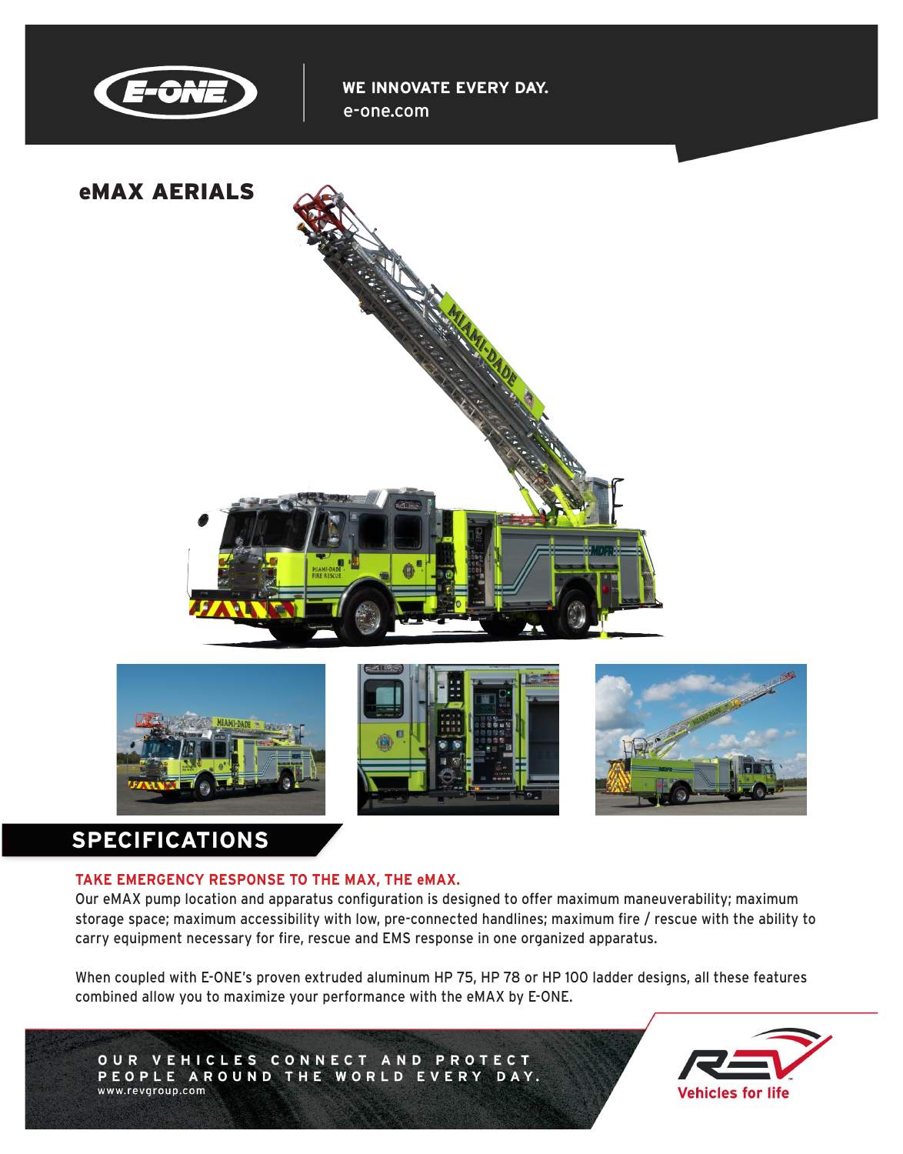

WE INNOVATE EVERY DAY. e-one.com









# **SPECIFICATIONS**

## **TAKE EMERGENCY RESPONSE TO THE MAX, THE eMAX.**

Our eMAX pump location and apparatus configuration is designed to offer maximum maneuverability; maximum storage space; maximum accessibility with low, pre-connected handlines; maximum fire / rescue with the ability to carry equipment necessary for fire, rescue and EMS response in one organized apparatus.

When coupled with E-ONE's proven extruded aluminum HP 75, HP 78 or HP 100 ladder designs, all these features combined allow you to maximize your performance with the eMAX by E-ONE.

OUR VEHICLES CONNECT AND PROTECT PEOPLE AROUND THE WORLD EVERY DAY. www.revgroup.com